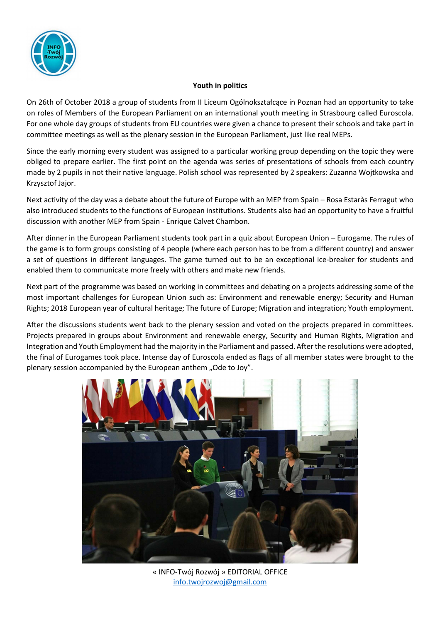

## **Youth in politics**

On 26th of October 2018 a group of students from II Liceum Ogólnokształcące in Poznan had an opportunity to take on roles of Members of the European Parliament on an international youth meeting in Strasbourg called Euroscola. For one whole day groups of students from EU countries were given a chance to present their schools and take part in committee meetings as well as the plenary session in the European Parliament, just like real MEPs.

Since the early morning every student was assigned to a particular working group depending on the topic they were obliged to prepare earlier. The first point on the agenda was series of presentations of schools from each country made by 2 pupils in not their native language. Polish school was represented by 2 speakers: Zuzanna Wojtkowska and Krzysztof Jajor.

Next activity of the day was a debate about the future of Europe with an MEP from Spain – Rosa Estaràs Ferragut who also introduced students to the functions of European institutions. Students also had an opportunity to have a fruitful discussion with another MEP from Spain - Enrique Calvet Chambon.

After dinner in the European Parliament students took part in a quiz about European Union – Eurogame. The rules of the game is to form groups consisting of 4 people (where each person has to be from a different country) and answer a set of questions in different languages. The game turned out to be an exceptional ice-breaker for students and enabled them to communicate more freely with others and make new friends.

Next part of the programme was based on working in committees and debating on a projects addressing some of the most important challenges for European Union such as: Environment and renewable energy; Security and Human Rights; 2018 European year of cultural heritage; The future of Europe; Migration and integration; Youth employment.

After the discussions students went back to the plenary session and voted on the projects prepared in committees. Projects prepared in groups about Environment and renewable energy, Security and Human Rights, Migration and Integration and Youth Employment had the majority in the Parliament and passed. After the resolutions were adopted, the final of Eurogames took place. Intense day of Euroscola ended as flags of all member states were brought to the plenary session accompanied by the European anthem "Ode to Joy".



« INFO-Twój Rozwój » EDITORIAL OFFICE info.twojrozwoj@gmail.com